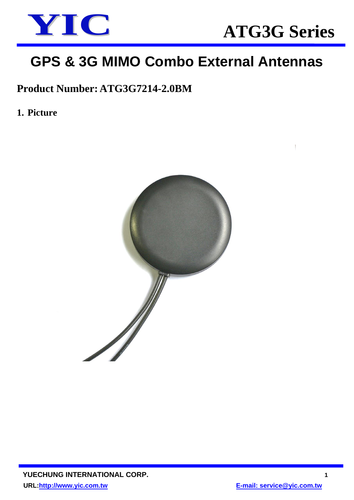

# **GPS & 3G MIMO Combo External Antennas**

## **Product Number: ATG3G7214-2.0BM**

**1. Picture** 

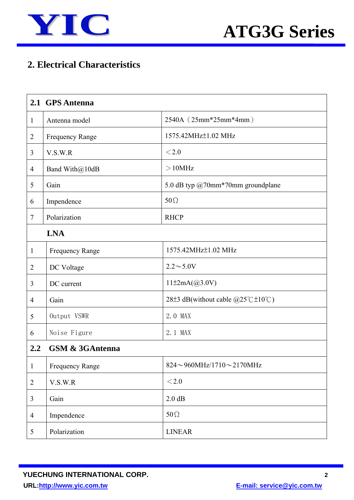

## **2. Electrical Characteristics**

|                  | 2.1 GPS Antenna            |                                                                                    |  |  |
|------------------|----------------------------|------------------------------------------------------------------------------------|--|--|
| $\mathbf{1}$     | Antenna model              | 2540A (25mm*25mm*4mm)                                                              |  |  |
| $\overline{2}$   | <b>Frequency Range</b>     | 1575.42MHz±1.02 MHz                                                                |  |  |
| 3                | V.S.W.R                    | < 2.0                                                                              |  |  |
| $\overline{4}$   | Band With@10dB             | $>10$ MHz                                                                          |  |  |
| 5                | Gain                       | 5.0 dB typ @70mm*70mm groundplane                                                  |  |  |
| 6                | Impendence                 | $50\Omega$                                                                         |  |  |
| $\tau$           | Polarization               | <b>RHCP</b>                                                                        |  |  |
| <b>LNA</b>       |                            |                                                                                    |  |  |
| $\mathbf{1}$     | <b>Frequency Range</b>     | 1575.42MHz <sup>+</sup> 1.02 MHz                                                   |  |  |
| $\overline{2}$   | DC Voltage                 | $2.2 \sim 5.0 V$                                                                   |  |  |
| 3                | DC current                 | $11\pm 2mA(@3.0V)$                                                                 |  |  |
| $\overline{4}$   | Gain                       | 28 <sup>±</sup> 3 dB(without cable $@25^{\circ}$ C <sup>+</sup> 10 <sup>°</sup> C) |  |  |
| 5                | Output VSWR                | 2.0 MAX                                                                            |  |  |
| 6                | Noise Figure               | 2.1 MAX                                                                            |  |  |
| $2.2\phantom{0}$ | <b>GSM &amp; 3GAntenna</b> |                                                                                    |  |  |
| $\mathbf{1}$     | <b>Frequency Range</b>     | $824 \sim 960$ MHz/1710 $\sim$ 2170MHz                                             |  |  |
| $\overline{2}$   | V.S.W.R                    | $<$ 2.0                                                                            |  |  |
| 3                | Gain                       | 2.0 dB                                                                             |  |  |
| $\overline{4}$   | Impendence                 | $50\Omega$                                                                         |  |  |
| $\mathfrak{S}$   | Polarization               | <b>LINEAR</b>                                                                      |  |  |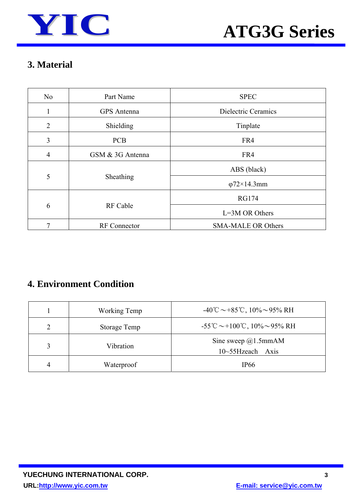

### **3. Material**

| N <sub>o</sub> | Part Name        | <b>SPEC</b>               |
|----------------|------------------|---------------------------|
|                | GPS Antenna      | Dielectric Ceramics       |
| $\overline{2}$ | Shielding        | Tinplate                  |
| 3              | <b>PCB</b>       | FR4                       |
| $\overline{4}$ | GSM & 3G Antenna | FR4                       |
|                |                  | ABS (black)               |
| 5              | Sheathing        | $\varphi$ 72×14.3mm       |
|                | <b>RF</b> Cable  | <b>RG174</b>              |
| 6              |                  | $L=3M$ OR Others          |
| 7              | RF Connector     | <b>SMA-MALE OR Others</b> |

### **4. Environment Condition**

| Working Temp | $-40^{\circ}\text{C} \sim +85^{\circ}\text{C}$ , $10\% \sim 95\% \text{ RH}$  |
|--------------|-------------------------------------------------------------------------------|
| Storage Temp | $-55^{\circ}\text{C} \sim +100^{\circ}\text{C}$ , $10\% \sim 95\% \text{ RH}$ |
| Vibration    | Sine sweep $@1.5mmAM$<br>$10\sim55$ Hzeach<br>Axis                            |
| Waterproof   | IP <sub>66</sub>                                                              |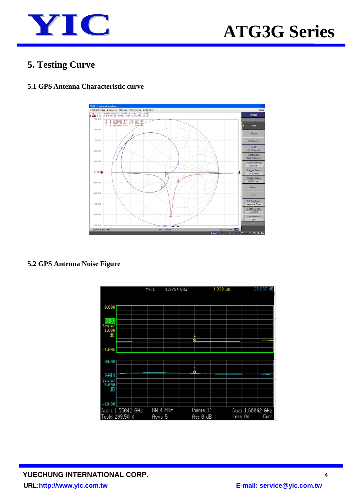

### **5. Testing Curve**

#### The Chinese Sheeponse Stimula +MarjAnayas Sinars<br>Tr1 S11 Smith (R+jx) Scale 1.000u [F1 Del]<br>Tr2 S11 Log Mag 10.00dB/ Ref 0.000dB [F1]  $\begin{array}{rrrr} 1 & 1.5754200 & \text{GHz} & -39.522 & \text{dB} \\ >2 & 1.5861355 & \text{GHz} & -10.000 & \text{dB} \\ 1 & 1.5659607 & \text{GHz} & -10.000 & \text{dB} \end{array}$  $40.00$ .<br>Singli  $30.00$ Conti Hold<br>All Chan 20.00 10.00 Trigger Ev<br>On Swe  $0,000$ Trigger S  $-10.00$ Restar  $-20.00$ Ext Trig Input<br>Negative Edge  $-30.00$ Trigger Delay<br>0.0000 s  $-40.00$ Low Late  $50.0$  $\overline{\phantom{0}}$  $01.575$ **ERICorl** 13-11-05

### **5.1 GPS Antenna Characteristic curve**

**5.2 GPS Antenna Noise Figure** 

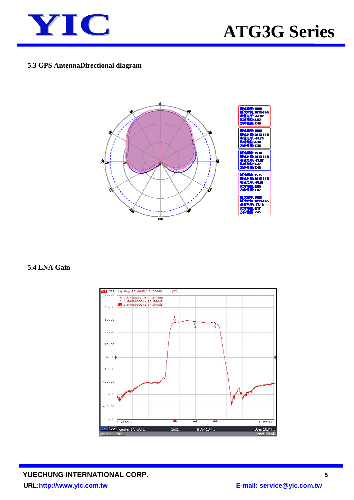

#### **5.3 GPS AntennaDirectional diagram**



#### **5.4 LNA Gain**

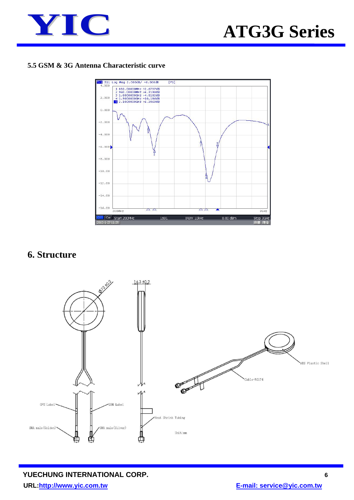

#### **5.5 GSM & 3G Antenna Characteristic curve**



### **6. Structure**